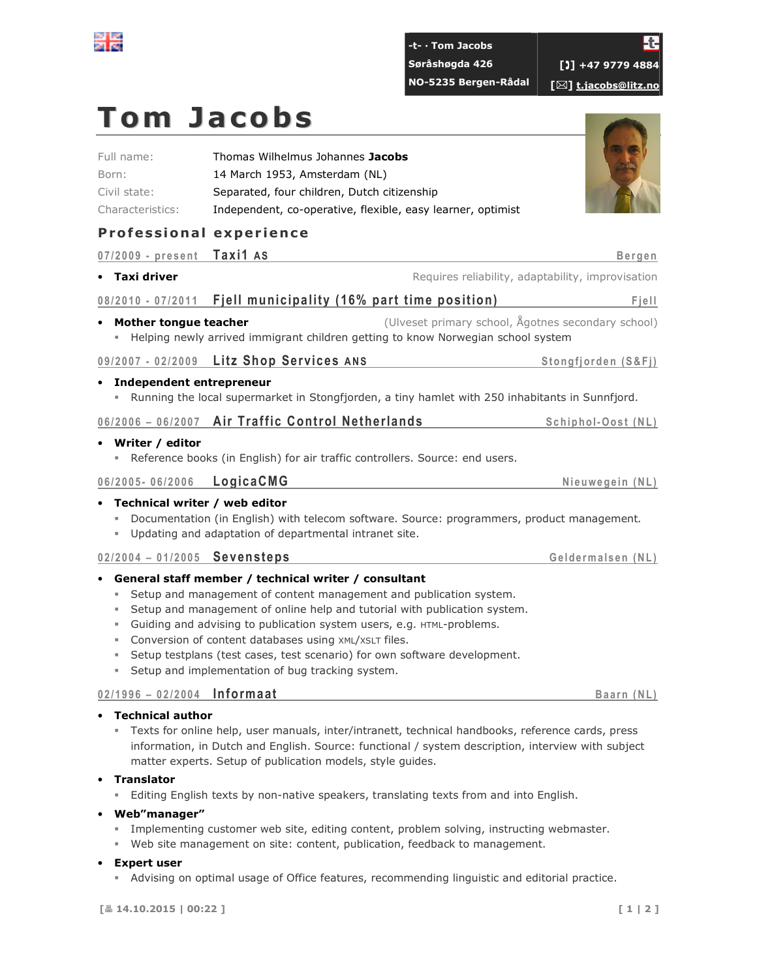

| -t- · Tom Jacobs     | Ł                                        |
|----------------------|------------------------------------------|
| Søråshøgda 426       | <b>101+47 9779 4884</b>                  |
| NO-5235 Bergen-Rådal | $\lceil\boxtimes\rceil$ t.jacobs@litz.no |

# Tom Jacobs

| Full name:       | Thomas Wilhelmus Johannes Jacobs                            |
|------------------|-------------------------------------------------------------|
| Born:            | 14 March 1953, Amsterdam (NL)                               |
| Civil state:     | Separated, four children, Dutch citizenship                 |
| Characteristics: | Independent, co-operative, flexible, easy learner, optimist |

### Professional experience

|                             | 07/2009 - present Taxi1 AS    |                                                                                                                                                                     |                                                                                                                                                                                                                                                                                                       | <b>Bergen</b>                                      |
|-----------------------------|-------------------------------|---------------------------------------------------------------------------------------------------------------------------------------------------------------------|-------------------------------------------------------------------------------------------------------------------------------------------------------------------------------------------------------------------------------------------------------------------------------------------------------|----------------------------------------------------|
|                             | • Taxi driver                 |                                                                                                                                                                     |                                                                                                                                                                                                                                                                                                       | Requires reliability, adaptability, improvisation  |
|                             |                               |                                                                                                                                                                     | 08/2010 - 07/2011 Fjell municipality (16% part time position)                                                                                                                                                                                                                                         | Fjell                                              |
|                             | • Mother tongue teacher       |                                                                                                                                                                     | Helping newly arrived immigrant children getting to know Norwegian school system                                                                                                                                                                                                                      | (Ulveset primary school, Ågotnes secondary school) |
|                             |                               | 09/2007 - 02/2009 Litz Shop Services ANS                                                                                                                            |                                                                                                                                                                                                                                                                                                       | Stongfjorden (S&Fj)                                |
| ш                           | • Independent entrepreneur    |                                                                                                                                                                     | Running the local supermarket in Stongfjorden, a tiny hamlet with 250 inhabitants in Sunnfjord.                                                                                                                                                                                                       |                                                    |
|                             |                               | 06/2006 - 06/2007 Air Traffic Control Netherlands                                                                                                                   |                                                                                                                                                                                                                                                                                                       | Schiphol-Oost (NL)                                 |
|                             | • Writer / editor             | 06/2005-06/2006 LogicaCMG                                                                                                                                           | Reference books (in English) for air traffic controllers. Source: end users.                                                                                                                                                                                                                          | Nieuwegein (NL)                                    |
| ٠                           |                               | • Technical writer / web editor<br>Updating and adaptation of departmental intranet site.                                                                           | Documentation (in English) with telecom software. Source: programmers, product management.                                                                                                                                                                                                            |                                                    |
|                             |                               | $02/2004 - 01/2005$ Sevensteps                                                                                                                                      |                                                                                                                                                                                                                                                                                                       | Geldermalsen (NL)                                  |
| ×.<br>ш<br>ш<br>ш<br>ш<br>٠ |                               | • General staff member / technical writer / consultant<br>Conversion of content databases using XML/XSLT files.<br>Setup and implementation of bug tracking system. | Setup and management of content management and publication system.<br>Setup and management of online help and tutorial with publication system.<br>Guiding and advising to publication system users, e.g. HTML-problems.<br>Setup testplans (test cases, test scenario) for own software development. |                                                    |
|                             | $02/1996 - 02/2004$ Informaat |                                                                                                                                                                     |                                                                                                                                                                                                                                                                                                       | Baarn (NL)                                         |

#### • Technical author

- Texts for online help, user manuals, inter/intranett, technical handbooks, reference cards, press information, in Dutch and English. Source: functional / system description, interview with subject matter experts. Setup of publication models, style guides.

• Translator

- Editing English texts by non-native speakers, translating texts from and into English.

#### • Web"manager"

- Implementing customer web site, editing content, problem solving, instructing webmaster.
- Web site management on site: content, publication, feedback to management.

#### • Expert user

- Advising on optimal usage of Office features, recommending linguistic and editorial practice.